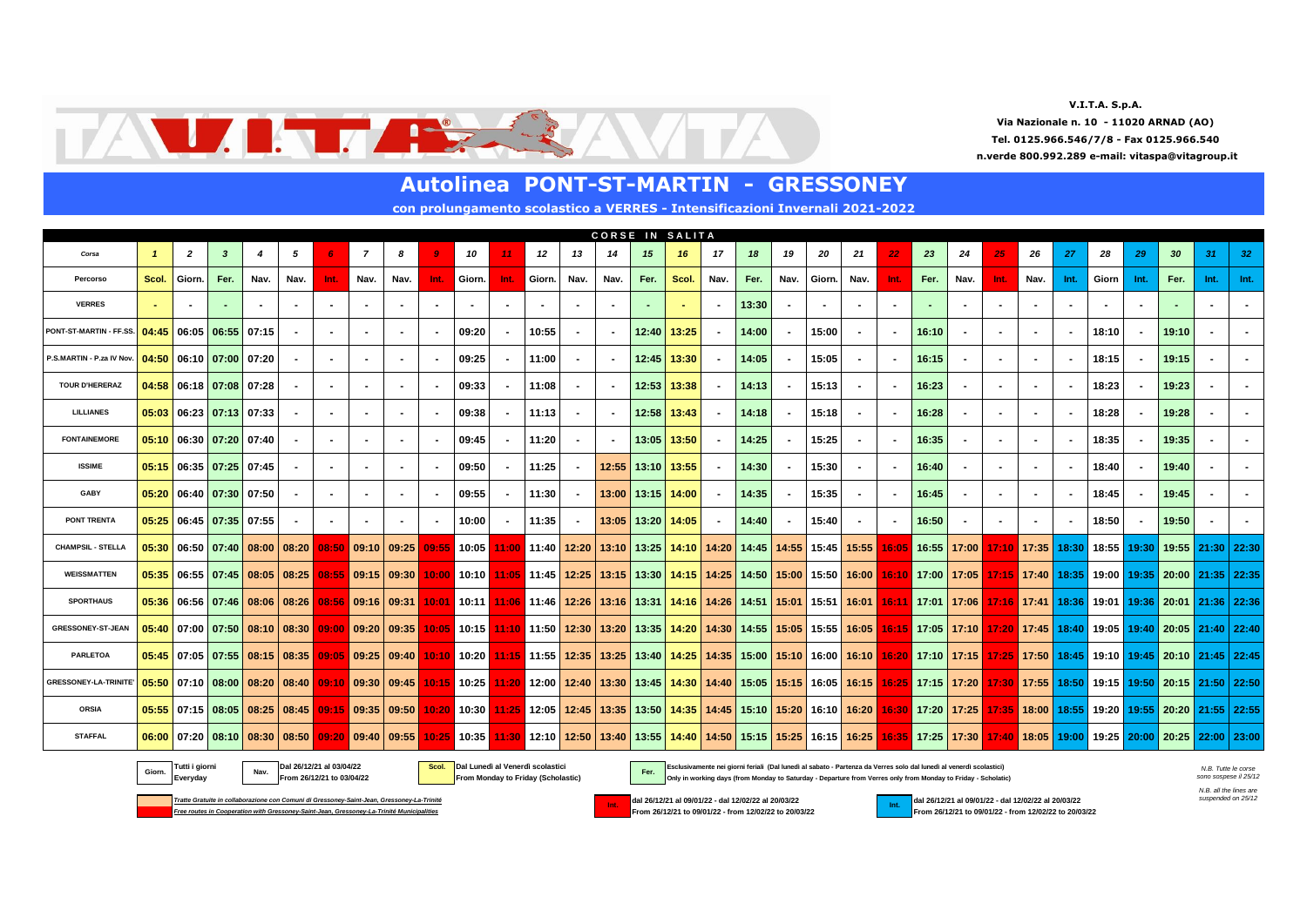**V.I.T.A. S.p.A. Via Nazionale n. 10 - 11020 ARNAD (AO) n.verde 800.992.289 e-mail: vitaspa@vitagroup.it Tel. 0125.966.546/7/8 - Fax 0125.966.540**



|                             |              |                         |              |       |                                                       |                |                                                   |      |        |        |                | <b>Autolinea PONT-ST-MARTIN -</b>                                            |      |      |                       |                 |                |       |      | <b>GRESSONEY</b> |                          |      |       |                          |                |      |      |                                                                                                                                                                                                       |        |       |      |      |
|-----------------------------|--------------|-------------------------|--------------|-------|-------------------------------------------------------|----------------|---------------------------------------------------|------|--------|--------|----------------|------------------------------------------------------------------------------|------|------|-----------------------|-----------------|----------------|-------|------|------------------|--------------------------|------|-------|--------------------------|----------------|------|------|-------------------------------------------------------------------------------------------------------------------------------------------------------------------------------------------------------|--------|-------|------|------|
|                             |              |                         |              |       |                                                       |                |                                                   |      |        |        |                | con prolungamento scolastico a VERRES - Intensificazioni Invernali 2021-2022 |      |      |                       |                 |                |       |      |                  |                          |      |       |                          |                |      |      |                                                                                                                                                                                                       |        |       |      |      |
|                             |              |                         |              |       |                                                       |                |                                                   |      |        |        |                |                                                                              |      |      |                       | CORSE IN SALITA |                |       |      |                  |                          |      |       |                          |                |      |      |                                                                                                                                                                                                       |        |       |      |      |
| Corsa                       | $\mathbf{1}$ | $\overline{2}$          | $\mathbf{3}$ | 4     | 5                                                     | 6              | $\overline{7}$                                    | 8    |        | 10     |                | 12                                                                           | 13   | 14   | 15                    | 16              | 17             | 18    | 19   | 20               | 21                       | 22   | 23    | 24                       | 25             | 26   | -27  | 28                                                                                                                                                                                                    | 29     | 30    | 31   | 32   |
| Percorso                    | Scol.        | Giorn.                  | Fer.         | Nav.  | Nav.                                                  | Int.           | Nav.                                              | Nav. | Int.   | Giorn. | Int.           | Giorn.                                                                       | Nav. | Nav. | Fer.                  | Scol.           | Nav.           | Fer.  | Nav. | Giorn.           | Nav.                     | Int. | Fer.  | Nav.                     | Int.           | Nav. | Int. | Giorn                                                                                                                                                                                                 | Int.   | Fer.  | Int. | Int. |
| <b>VERRES</b>               |              |                         |              |       |                                                       |                |                                                   |      |        |        |                |                                                                              |      |      |                       |                 |                | 13:30 |      |                  |                          |      |       |                          |                |      |      |                                                                                                                                                                                                       |        |       |      |      |
| PONT-ST-MARTIN - FF.SS.     | 04:45        | 06:05 06:55             |              | 07:15 |                                                       |                |                                                   |      |        | 09:20  | $\blacksquare$ | 10:55                                                                        |      |      | 12:40                 | 13:25           | $\blacksquare$ | 14:00 |      | 15:00            |                          |      | 16:10 | $\sim$                   |                |      |      | 18:10                                                                                                                                                                                                 |        | 19:10 |      |      |
| P.S.MARTIN - P.za IV Nov.   | 04:50        | 06:10 07:00 07:20       |              |       |                                                       |                |                                                   |      |        | 09:25  | $\sim$         | 11:00                                                                        |      |      |                       | $12:45$ 13:30   | $\blacksquare$ | 14:05 |      | 15:05            |                          |      | 16:15 | $\sim$                   |                |      |      | 18:15                                                                                                                                                                                                 |        | 19:15 |      |      |
| <b>TOUR D'HERERAZ</b>       |              | 04:58 06:18 07:08 07:28 |              |       | $\blacksquare$                                        |                |                                                   |      |        | 09:33  | $\sim$         | 11:08                                                                        |      |      |                       | $12:53$   13:38 | $\blacksquare$ | 14:13 |      | 15:13            |                          |      | 16.23 | $\sim$                   | $\blacksquare$ |      |      | 18:23                                                                                                                                                                                                 | $\sim$ | 19:23 |      |      |
| <b>LILLIANES</b>            |              | 05:03 06:23 07:13 07:33 |              |       | $\blacksquare$                                        |                |                                                   |      |        | 09.38  | $\blacksquare$ | 11:13                                                                        |      |      | $12:58$   13:43       |                 | $\blacksquare$ | 14:18 |      | 15:18            | $\overline{\phantom{a}}$ |      | 16:28 | $\blacksquare$           | $\blacksquare$ |      |      | 18:28                                                                                                                                                                                                 |        | 19:28 |      |      |
| <b>FONTAINEMORE</b>         |              | $05:10$ 06:30 07:20     |              | 07:40 |                                                       | $\blacksquare$ |                                                   |      | $\sim$ | 09:45  | $\sim$         | 11:20                                                                        |      |      | 13:05 13:50           |                 | $\sim$         | 14:25 |      | 15:25            | $\overline{\phantom{a}}$ |      | 16:35 | $\sim$                   | $\blacksquare$ |      |      | 18:35                                                                                                                                                                                                 | $\sim$ | 19:35 |      |      |
| <b>ISSIME</b>               |              | $05:15$ 06:35 07:25     |              | 07:45 |                                                       | $\blacksquare$ |                                                   |      |        | 09:50  | $\sim$         | 11:25                                                                        | . .  |      | 12:55 13:10 13:55     |                 | $\blacksquare$ | 14:30 |      | 15:30            |                          |      | 16:40 | $\sim$                   | $\blacksquare$ |      |      | 18:40                                                                                                                                                                                                 |        | 19:40 |      |      |
| GABY                        |              | 05:20 06:40 07:30       |              | 07:50 |                                                       |                |                                                   |      |        | 09:55  | $\sim$         | 11:30                                                                        |      |      | 13:00 13:15 14:00     |                 | $\blacksquare$ | 14:35 |      | 15:35            |                          |      | 16:45 | $\sim$                   |                |      |      | 18:45                                                                                                                                                                                                 |        | 19:45 |      |      |
| <b>PONT TRENTA</b>          |              | 05:25 06:45 07:35 07:55 |              |       |                                                       |                |                                                   |      |        | 10:00  | $\sim$         | 11:35                                                                        |      |      | 13:05   13:20   14:05 |                 | $\blacksquare$ | 14:40 |      | 15:40            |                          |      | 16:50 | $\overline{\phantom{a}}$ |                |      |      | 18:50                                                                                                                                                                                                 |        | 19:50 |      |      |
| <b>CHAMPSIL - STELLA</b>    |              |                         |              |       | $05:30$ 06:50 07:40 08:00 08:20                       |                | $\left  08:50 \right  09:10 \left  09:25 \right $ |      |        |        |                |                                                                              |      |      |                       |                 |                |       |      |                  |                          |      |       |                          |                |      |      | 09:55 10:05 11:00 11:40 12:20 13:10 13:25 14:10 14:20 14:45 14:55 15:45 15:55 16:05 16:55 17:00 17:10 17:35 18:30 18:55 19:30 19:55 21:30 22:30                                                       |        |       |      |      |
| <b>WEISSMATTEN</b>          |              |                         |              |       | 05:35 06:55 07:45 08:05 08:25 08:55 09:15 09:30       |                |                                                   |      |        |        |                |                                                                              |      |      |                       |                 |                |       |      |                  |                          |      |       |                          |                |      |      | 10:00 10:10 11:05 11:45 12:25 13:15 13:30 14:15 14:25 14:50 15:00 15:50 16:00 16:10 17:00 17:05 17:15 17:40 18:35 19:00 19:35 20:00 21:35 22:35                                                       |        |       |      |      |
| <b>SPORTHAUS</b>            | 05:36        |                         |              |       | 06:56   07:46   08:06   08:26   08:56   09:16   09:31 |                |                                                   |      |        |        |                |                                                                              |      |      |                       |                 |                |       |      |                  |                          |      |       |                          |                |      |      | 10:01 10:11 11:06 11:46 12:26 13:16 13:31 14:16 14:26 14:51 15:01 15:51 16:01 16:11 17:01 17:06 17:16 17:41 18:36 19:01 19:36 20:01 21:36 22:36                                                       |        |       |      |      |
| GRESSONEY-ST-JEAN           |              |                         |              |       |                                                       |                |                                                   |      |        |        |                |                                                                              |      |      |                       |                 |                |       |      |                  |                          |      |       |                          |                |      |      | 05:40 07:00 07:50 08:10 08:30 09:00 09:20 09:35 10:05 10:15 11:10 11:50 12:30 13:20 13:35 14:20 14:50 15:55 15:05 15:55 16:05 16:15 17:05 17:10 17:20 17:40 19:06 19:06 19:00 20:05 21:40 22:40       |        |       |      |      |
| <b>PARLETOA</b>             |              |                         |              |       | 05:45 07:05 07:55 08:15 08:35                         |                |                                                   |      |        |        |                |                                                                              |      |      |                       |                 |                |       |      |                  |                          |      |       |                          |                |      |      | 10:10 10:20 11:15 11:55 12:35 13:25 13:26 14:25 14:35 15:00 15:10 16:00 16:10 16:20 17:10 17:15 17:25 17:50 18:45 19:10 19:45 20:10 21:45 22:45                                                       |        |       |      |      |
| <b>GRESSONEY-LA-TRINITE</b> |              |                         |              |       |                                                       |                |                                                   |      |        |        |                |                                                                              |      |      |                       |                 |                |       |      |                  |                          |      |       |                          |                |      |      | 05:50 07:10 08:00 08:00 08:40 09:10 09:30 09:45 10:15 10:15 10:25 11:20 12:00 12:40 13:30 13:45 14:30 14:40 15:05 15:15 16:05 16:15 16:25 17:15 17:20 17:30 17:55 18:50 19:15 19:50 20:15 21:50 22:50 |        |       |      |      |
| <b>ORSIA</b>                |              |                         |              |       | 05:55 07:15 08:05 08:25 08:45 09:15 09:35 09:50       |                |                                                   |      |        |        |                |                                                                              |      |      |                       |                 |                |       |      |                  |                          |      |       |                          |                |      |      | 10:20 10:30 11:25 12:05 12:45 13:35 13:50 14:35 14:45 15:10 15:20 16:10 16:20 16:30 17:20 17:25 17:35 18:00 18:55 19:20 19:55 20:20 21:55 22:55                                                       |        |       |      |      |
| <b>STAFFAL</b>              |              |                         |              |       |                                                       |                |                                                   |      |        |        |                |                                                                              |      |      |                       |                 |                |       |      |                  |                          |      |       |                          |                |      |      | 06:00 07:20 08:10 08:30 08:50 09:20 09:40 09:55 10:25 10:35 11:30 12:10 12:50 13:40 13:55 14:40 14:50 15:15 15:25 16:15 16:25 16:25 17:30 17:40 17:40 18:05 19:00 20:25 20:00 20:25 22:00 23:00       |        |       |      |      |

Tutti i giorni [Navang Dal 26/12/21 al 03/04/22 **19/20 19/20 10:00 10:00 10:00 10:00 10:00 10:00 10:00 10:00 10:00 10:00 10:00 10:00 10:00 10:00 10:00 10:00 10:00 10:00 10:00 10:00 10:00 10:00 10:00 10:00 10:00 10:00 10:00 Everyday From 26/12/21 to 03/04/22 From Monday to Friday (Scholastic) Only in working days (from Monday to Saturday - Departure from Verres only from Monday to Friday - Scholatic) Giorn. Nav. Fer.** *N.B. Tutte le corse* 

*sono sospese il 25/12*

*Free routes in Cooperation with Gressoney-Saint-Jean, Gressoney-La-Trinité Municipalities* **From 26/12/21 to 09/01/22 - from 12/02/22 to 20/03/22 From 26/12/21 to 09/01/22 - from 12/02/22 to 20/03/22**



**From 26/12/21 to 09/01/22 - from 12/02/22 to 20/03/22** 

on Comuni di Gressoney-Saint-Jean, Gressoney-La-Trinité<br> **dal 26/12/21 al 09/01/22 - dal 26/12/21 al 20/0**1/22 - dal 26/12/21 al 09/01/22 - dal 12/02/22 **al 20/03/22 dal 26/12/21 al 09/01/22 - dal 12/02/22 al 20/03/22**<br>

*N.B. all the lines are* 

*suspended on 25/12*